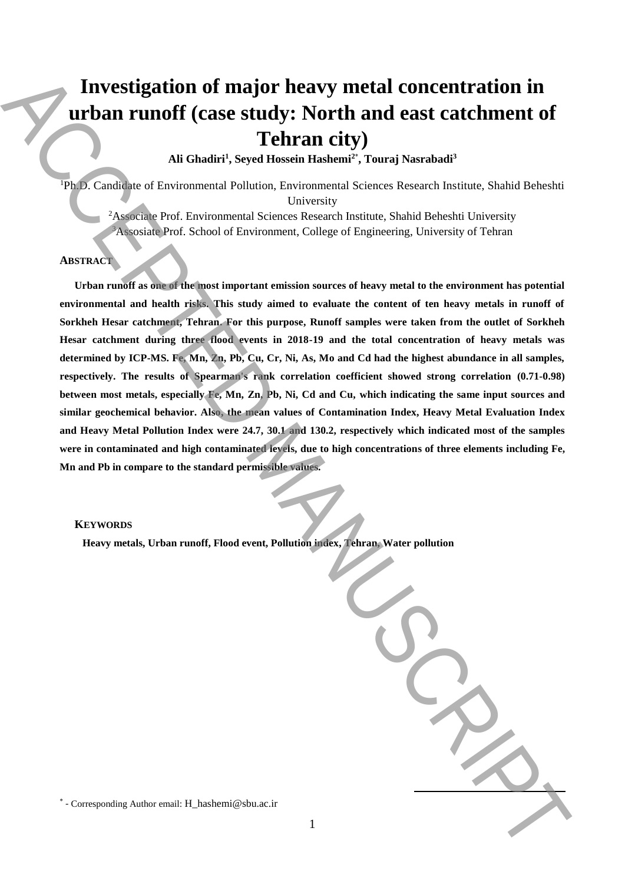# **Investigation of major heavy metal concentration in urban runoff (case study: North and east catchment of Tehran city)**

**Ali Ghadiri<sup>1</sup> , Seyed Hossein Hashemi<sup>2</sup>**\* **, Touraj Nasrabadi<sup>3</sup>**

<sup>1</sup>Ph.D. Candidate of Environmental Pollution, Environmental Sciences Research Institute, Shahid Beheshti University

<sup>2</sup>Associate Prof. Environmental Sciences Research Institute, Shahid Beheshti University <sup>3</sup>Assosiate Prof. School of Environment, College of Engineering, University of Tehran

## **ABSTRACT**

**Urban runoff as one of the most important emission sources of heavy metal to the environment has potential environmental and health risks. This study aimed to evaluate the content of ten heavy metals in runoff of Sorkheh Hesar catchment, Tehran. For this purpose, Runoff samples were taken from the outlet of Sorkheh Hesar catchment during three flood events in 2018-19 and the total concentration of heavy metals was determined by ICP-MS. Fe, Mn, Zn, Pb, Cu, Cr, Ni, As, Mo and Cd had the highest abundance in all samples, respectively. The results of Spearman's rank correlation coefficient showed strong correlation (0.71-0.98) between most metals, especially Fe, Mn, Zn, Pb, Ni, Cd and Cu, which indicating the same input sources and similar geochemical behavior. Also, the mean values of Contamination Index, Heavy Metal Evaluation Index and Heavy Metal Pollution Index were 24.7, 30.1 and 130.2, respectively which indicated most of the samples were in contaminated and high contaminated levels, due to high concentrations of three elements including Fe, Mn and Pb in compare to the standard permissible values.**  Investigation of major heavy metal concentration in<br>
The concentration of the corresponding Author email: Althorn email:  $\sum_{\substack{X \in \mathbb{N} \\ \text{in } \mathbb{N} \\ \text{in } \mathbb{N} \\ \text{in } \mathbb{N} \\ \text{in } \mathbb{N} \\ \text{in } \mathbb{N} \\ \text{in } \mathbb{N} \\ \text{in } \mathbb{N$ 

#### **KEYWORDS**

 **Heavy metals, Urban runoff, Flood event, Pollution index, Tehran, Water pollution**

\* - Corresponding Author email: H\_hashemi@sbu.ac.ir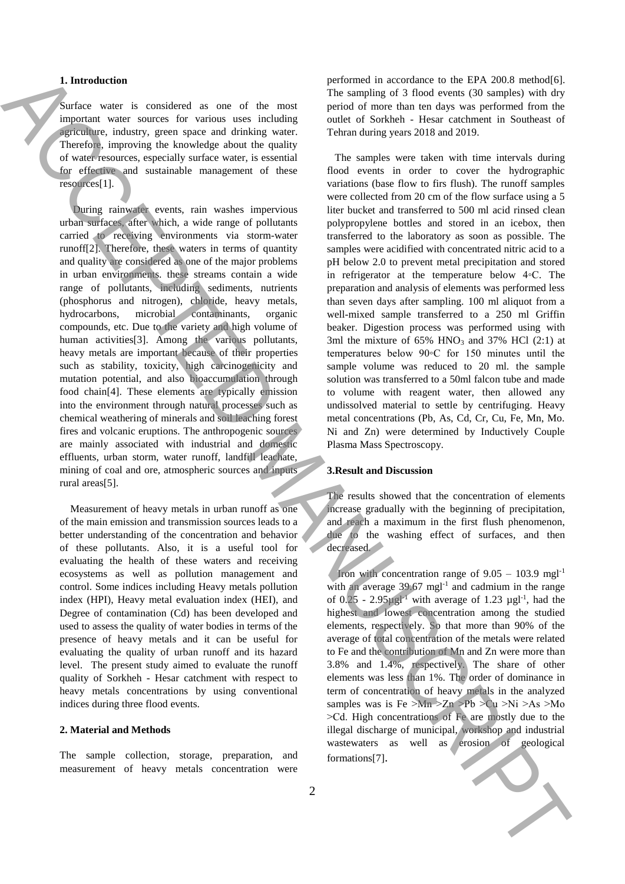## **1. Introduction**

Surface water is considered as one of the most important water sources for various uses including agriculture, industry, green space and drinking water. Therefore, improving the knowledge about the quality of water resources, especially surface water, is essential for effective and sustainable management of these resources[1].

 During rainwater events, rain washes impervious urban surfaces, after which, a wide range of pollutants carried to receiving environments via storm-water runoff[2]. Therefore, these waters in terms of quantity and quality are considered as one of the major problems in urban environments. these streams contain a wide range of pollutants, including sediments, nutrients (phosphorus and nitrogen), chloride, heavy metals, hydrocarbons, microbial contaminants, organic compounds, etc. Due to the variety and high volume of human activities<sup>[3]</sup>. Among the various pollutants, heavy metals are important because of their properties such as stability, toxicity, high carcinogenicity and mutation potential, and also bioaccumulation through food chain[4]. These elements are typically emission into the environment through natural processes such as chemical weathering of minerals and soil leaching forest fires and volcanic eruptions. The anthropogenic sources are mainly associated with industrial and domestic effluents, urban storm, water runoff, landfill leachate, mining of coal and ore, atmospheric sources and inputs rural areas[5].

 Measurement of heavy metals in urban runoff as one of the main emission and transmission sources leads to a better understanding of the concentration and behavior of these pollutants. Also, it is a useful tool for evaluating the health of these waters and receiving ecosystems as well as pollution management and control. Some indices including Heavy metals pollution index (HPI), Heavy metal evaluation index (HEI), and Degree of contamination (Cd) has been developed and used to assess the quality of water bodies in terms of the presence of heavy metals and it can be useful for evaluating the quality of urban runoff and its hazard level. The present study aimed to evaluate the runoff quality of Sorkheh - Hesar catchment with respect to heavy metals concentrations by using conventional indices during three flood events.

#### **2. Material and Methods**

The sample collection, storage, preparation, and measurement of heavy metals concentration were

performed in accordance to the EPA 200.8 method[6]. The sampling of 3 flood events (30 samples) with dry period of more than ten days was performed from the outlet of Sorkheh - Hesar catchment in Southeast of Tehran during years 2018 and 2019.

 The samples were taken with time intervals during flood events in order to cover the hydrographic variations (base flow to firs flush). The runoff samples were collected from 20 cm of the flow surface using a 5 liter bucket and transferred to 500 ml acid rinsed clean polypropylene bottles and stored in an icebox, then transferred to the laboratory as soon as possible. The samples were acidified with concentrated nitric acid to a pH below 2.0 to prevent metal precipitation and stored in refrigerator at the temperature below 4◦C. The preparation and analysis of elements was performed less than seven days after sampling. 100 ml aliquot from a well-mixed sample transferred to a 250 ml Griffin beaker. Digestion process was performed using with 3ml the mixture of  $65\%$  HNO<sub>3</sub> and  $37\%$  HCl (2:1) at temperatures below 90◦C for 150 minutes until the sample volume was reduced to 20 ml. the sample solution was transferred to a 50ml falcon tube and made to volume with reagent water, then allowed any undissolved material to settle by centrifuging. Heavy metal concentrations (Pb, As, Cd, Cr, Cu, Fe, Mn, Mo. Ni and Zn) were determined by Inductively Couple Plasma Mass Spectroscopy. **1.** Interesting the same of the same of the same of the [C](#page-2-0)OS and the COS and the COS and the COS and the COS and the COS and the COS and the COS and the COS and the COS and the COS and the COS and the COS and the COS and

## **3.Result and Discussion**

The results showed that the concentration of elements increase gradually with the beginning of precipitation, and reach a maximum in the first flush phenomenon, due to the washing effect of surfaces, and then decreased.

Iron with concentration range of  $9.05 - 103.9$  mgl<sup>-1</sup> with an average 39.67 mgl<sup>-1</sup> and cadmium in the range of  $0.25$  - 2.95 $\mu$ gl<sup>-1</sup> with average of 1.23  $\mu$ gl<sup>-1</sup>, had the highest and lowest concentration among the studied elements, respectively. So that more than 90% of the average of total concentration of the metals were related to Fe and the contribution of Mn and Zn were more than 3.8% and 1.4%, respectively. The share of other elements was less than 1%. The order of dominance in term of concentration of heavy metals in the analyzed samples was is Fe  $>Mn > Zn > Pb > Cu > Ni > As > Mo$ ˃Cd. High concentrations of Fe are mostly due to the illegal discharge of municipal, workshop and industrial wastewaters as well as erosion of geological formations[7].